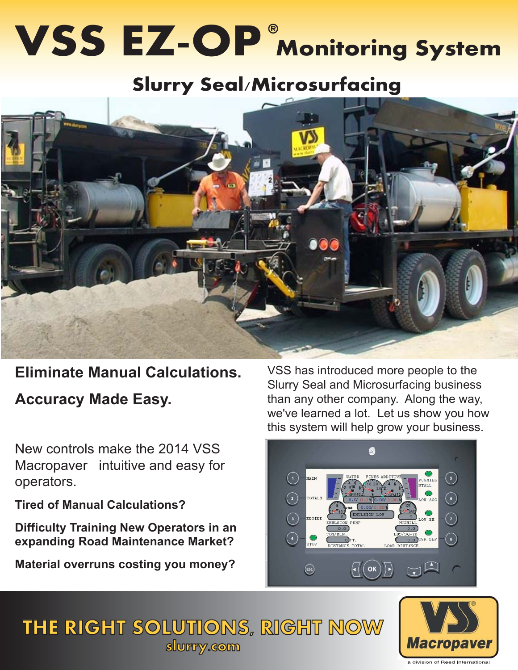# **VSS EZ-OP** Monitoring System

# **Slurry Seal/Microsurfacing**



### **Eliminate Manual Calculations.**

**Accuracy Made Easy.**

New controls make the 2014 VSS Macropaver intuitive and easy for operators.

**Tired of Manual Calculations?**

**Difficulty Training New Operators in an expanding Road Maintenance Market?**

**Material overruns costing you money?**

VSS has introduced more people to the Slurry Seal and Microsurfacing business than any other company. Along the way, we've learned a lot. Let us show you how this system will help grow your business.



## THE RIGHT SOLUTIONS, RIGHT NOW **Slurry.com**